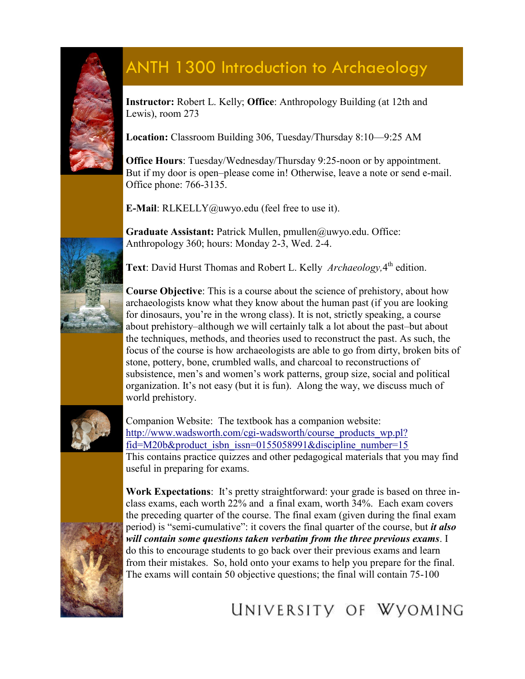

## ANTH 1300 Introduction to Archaeology

**Instructor:** Robert L. Kelly; **Office**: Anthropology Building (at 12th and Lewis), room 273

**Location:** Classroom Building 306, Tuesday/Thursday 8:10—9:25 AM

**Office Hours**: Tuesday/Wednesday/Thursday 9:25-noon or by appointment. But if my door is open–please come in! Otherwise, leave a note or send e-mail. Office phone: 766-3135.

**E-Mail**: RLKELLY@uwyo.edu (feel free to use it).

**Graduate Assistant:** Patrick Mullen, pmullen@uwyo.edu. Office: Anthropology 360; hours: Monday 2-3, Wed. 2-4.

Text: David Hurst Thomas and Robert L. Kelly *Archaeology*, 4<sup>th</sup> edition.



**Course Objective**: This is a course about the science of prehistory, about how archaeologists know what they know about the human past (if you are looking for dinosaurs, you're in the wrong class). It is not, strictly speaking, a course about prehistory–although we will certainly talk a lot about the past–but about the techniques, methods, and theories used to reconstruct the past. As such, the focus of the course is how archaeologists are able to go from dirty, broken bits of stone, pottery, bone, crumbled walls, and charcoal to reconstructions of subsistence, men's and women's work patterns, group size, social and political organization. It's not easy (but it is fun). Along the way, we discuss much of world prehistory.



Companion Website: The textbook has a companion website: [http://www.wadsworth.com/cgi-wadsworth/course\\_products\\_wp.pl?](http://www.wadsworth.com/cgi-wadsworth/course_products_wp.pl?fid=M20b&product_isbn_issn=0155058991&discipline_number=15) [fid=M20b&product\\_isbn\\_issn=0155058991&discipline\\_number=15](http://www.wadsworth.com/cgi-wadsworth/course_products_wp.pl?fid=M20b&product_isbn_issn=0155058991&discipline_number=15) This contains practice quizzes and other pedagogical materials that you may find useful in preparing for exams.



**Work Expectations**: It's pretty straightforward: your grade is based on three inclass exams, each worth 22% and a final exam, worth 34%. Each exam covers the preceding quarter of the course. The final exam (given during the final exam period) is "semi-cumulative": it covers the final quarter of the course, but *it also will contain some questions taken verbatim from the three previous exams*. I do this to encourage students to go back over their previous exams and learn from their mistakes. So, hold onto your exams to help you prepare for the final. The exams will contain 50 objective questions; the final will contain 75-100

## UNIVERSITY OF WYOMING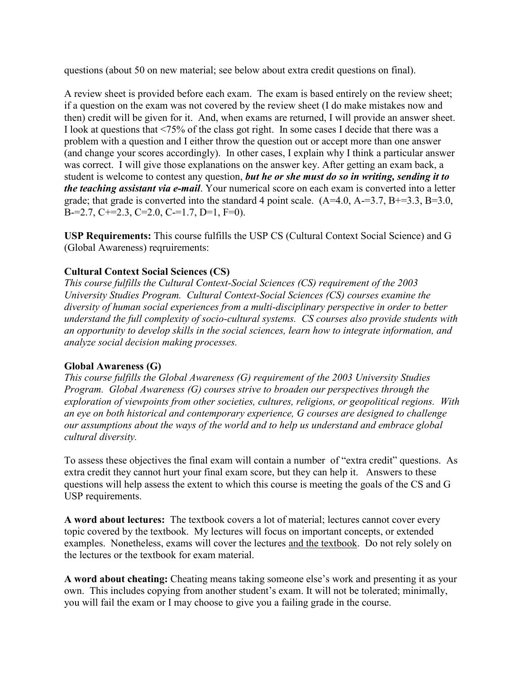questions (about 50 on new material; see below about extra credit questions on final).

A review sheet is provided before each exam. The exam is based entirely on the review sheet; if a question on the exam was not covered by the review sheet (I do make mistakes now and then) credit will be given for it. And, when exams are returned, I will provide an answer sheet. I look at questions that <75% of the class got right. In some cases I decide that there was a problem with a question and I either throw the question out or accept more than one answer (and change your scores accordingly). In other cases, I explain why I think a particular answer was correct. I will give those explanations on the answer key. After getting an exam back, a student is welcome to contest any question, *but he or she must do so in writing, sending it to the teaching assistant via e-mail*. Your numerical score on each exam is converted into a letter grade; that grade is converted into the standard 4 point scale.  $(A=4.0, A=3.7, B=3.3, B=3.0, A=3.7, B=3.3, B=3.0, A=3.7, B=3.3, B=3.0, A=3.3, B=3.0, A=3.3, B=3.0, A=3.3, B=3.0, A=3.3, B=3.0, A=3.3, B=3.0, A=3.0, A=3.0, A=3.0, B=3.0, A=3.0, B=3.0,$ B-=2.7, C+=2.3, C=2.0, C-=1.7, D=1, F=0).

**USP Requirements:** This course fulfills the USP CS (Cultural Context Social Science) and G (Global Awareness) reqruirements:

## **Cultural Context Social Sciences (CS)**

*This course fulfills the Cultural Context-Social Sciences (CS) requirement of the 2003 University Studies Program. Cultural Context-Social Sciences (CS) courses examine the diversity of human social experiences from a multi-disciplinary perspective in order to better understand the full complexity of socio-cultural systems. CS courses also provide students with an opportunity to develop skills in the social sciences, learn how to integrate information, and analyze social decision making processes.*

## **Global Awareness (G)**

*This course fulfills the Global Awareness (G) requirement of the 2003 University Studies Program. Global Awareness (G) courses strive to broaden our perspectives through the exploration of viewpoints from other societies, cultures, religions, or geopolitical regions. With an eye on both historical and contemporary experience, G courses are designed to challenge our assumptions about the ways of the world and to help us understand and embrace global cultural diversity.*

To assess these objectives the final exam will contain a number of "extra credit" questions. As extra credit they cannot hurt your final exam score, but they can help it. Answers to these questions will help assess the extent to which this course is meeting the goals of the CS and G USP requirements.

**A word about lectures:** The textbook covers a lot of material; lectures cannot cover every topic covered by the textbook. My lectures will focus on important concepts, or extended examples. Nonetheless, exams will cover the lectures and the textbook. Do not rely solely on the lectures or the textbook for exam material.

**A word about cheating:** Cheating means taking someone else's work and presenting it as your own. This includes copying from another student's exam. It will not be tolerated; minimally, you will fail the exam or I may choose to give you a failing grade in the course.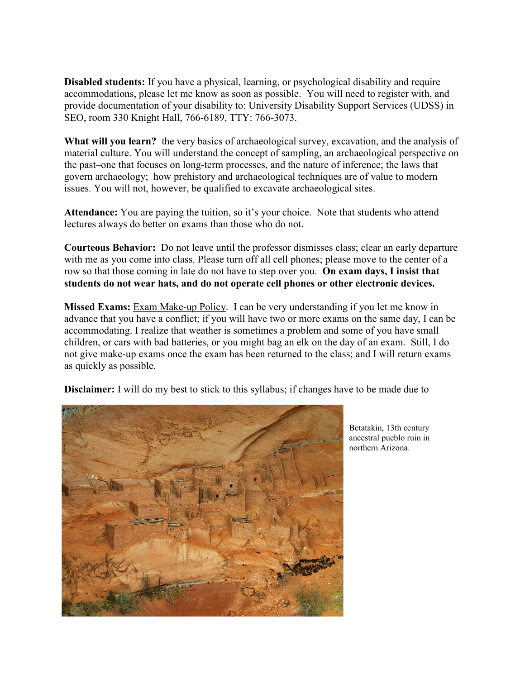**Disabled students:** If you have a physical, learning, or psychological disability and require accommodations, please let me know as soon as possible. You will need to register with, and provide documentation of your disability to: University Disability Support Services (UDSS) in SEO, room 330 Knight Hall, 766-6189, TTY: 766-3073.

**What will you learn?** the very basics of archaeological survey, excavation, and the analysis of material culture. You will understand the concept of sampling, an archaeological perspective on the past–one that focuses on long-term processes, and the nature of inference; the laws that govern archaeology; how prehistory and archaeological techniques are of value to modern issues. You will not, however, be qualified to excavate archaeological sites.

**Attendance:** You are paying the tuition, so it's your choice. Note that students who attend lectures always do better on exams than those who do not.

**Courteous Behavior:** Do not leave until the professor dismisses class; clear an early departure with me as you come into class. Please turn off all cell phones; please move to the center of a row so that those coming in late do not have to step over you. **On exam days, I insist that students do not wear hats, and do not operate cell phones or other electronic devices.** 

**Missed Exams:** Exam Make-up Policy. I can be very understanding if you let me know in advance that you have a conflict; if you will have two or more exams on the same day, I can be accommodating. I realize that weather is sometimes a problem and some of you have small children, or cars with bad batteries, or you might bag an elk on the day of an exam. Still, I do not give make-up exams once the exam has been returned to the class; and I will return exams as quickly as possible.

**Disclaimer:** I will do my best to stick to this syllabus; if changes have to be made due to



Betatakin, 13th century ancestral pueblo ruin in northern Arizona.